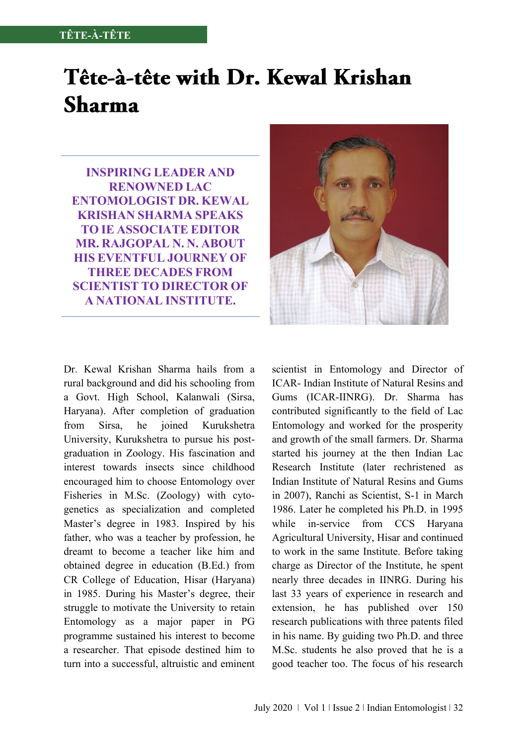# Tête-à-tête with Dr. Kewal Krishan **Sharma**

**INSPIRING LEADER AND RENOWNED LAC ENTOMOLOGIST DR. KEWAL KRISHAN SHARMA SPEAKS TO IE ASSOCIATE EDITOR MR. RAJGOPAL N. N. ABOUT HIS EVENTFUL JOURNEY OF THREE DECADES FROM SCIENTIST TO DIRECTOR OF A NATIONAL INSTITUTE.**

Dr. Kewal Krishan Sharma hails from a rural background and did his schooling from a Govt. High School, Kalanwali (Sirsa, Haryana). After completion of graduation from Sirsa, he joined Kurukshetra University, Kurukshetra to pursue his postgraduation in Zoology. His fascination and interest towards insects since childhood encouraged him to choose Entomology over Fisheries in M.Sc. (Zoology) with cytogenetics as specialization and completed Master's degree in 1983. Inspired by his father, who was a teacher by profession, he dreamt to become a teacher like him and obtained degree in education (B.Ed.) from CR College of Education, Hisar (Haryana) in 1985. During his Master's degree, their struggle to motivate the University to retain Entomology as a major paper in PG programme sustained his interest to become a researcher. That episode destined him to turn into a successful, altruistic and eminent



scientist in Entomology and Director of ICAR- Indian Institute of Natural Resins and Gums (ICAR-IINRG). Dr. Sharma has contributed significantly to the field of Lac Entomology and worked for the prosperity and growth of the small farmers. Dr. Sharma started his journey at the then Indian Lac Research Institute (later rechristened as Indian Institute of Natural Resins and Gums in 2007), Ranchi as Scientist, S-1 in March 1986. Later he completed his Ph.D. in 1995 while in-service from CCS Haryana Agricultural University, Hisar and continued to work in the same Institute. Before taking charge as Director of the Institute, he spent nearly three decades in IINRG. During his last 33 years of experience in research and extension, he has published over 150 research publications with three patents filed in his name. By guiding two Ph.D. and three M.Sc. students he also proved that he is a good teacher too. The focus of his research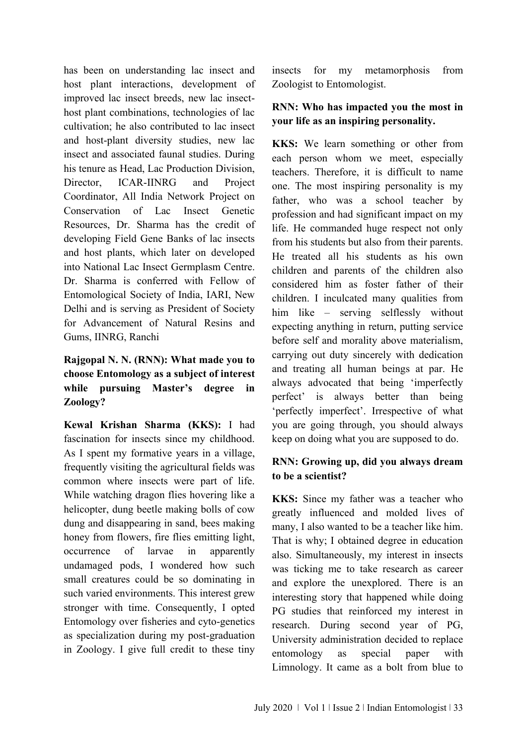has been on understanding lac insect and host plant interactions, development of improved lac insect breeds, new lac insecthost plant combinations, technologies of lac cultivation; he also contributed to lac insect and host-plant diversity studies, new lac insect and associated faunal studies. During his tenure as Head, Lac Production Division, Director, ICAR-IINRG and Project Coordinator, All India Network Project on Conservation of Lac Insect Genetic Resources, Dr. Sharma has the credit of developing Field Gene Banks of lac insects and host plants, which later on developed into National Lac Insect Germplasm Centre. Dr. Sharma is conferred with Fellow of Entomological Society of India, IARI, New Delhi and is serving as President of Society for Advancement of Natural Resins and Gums, IINRG, Ranchi

## **Rajgopal N. N. (RNN): What made you to choose Entomology as a subject of interest while pursuing Master's degree in Zoology?**

**Kewal Krishan Sharma (KKS):** I had fascination for insects since my childhood. As I spent my formative years in a village, frequently visiting the agricultural fields was common where insects were part of life. While watching dragon flies hovering like a helicopter, dung beetle making bolls of cow dung and disappearing in sand, bees making honey from flowers, fire flies emitting light, occurrence of larvae in apparently undamaged pods, I wondered how such small creatures could be so dominating in such varied environments. This interest grew stronger with time. Consequently, I opted Entomology over fisheries and cyto-genetics as specialization during my post-graduation in Zoology. I give full credit to these tiny

insects for my metamorphosis from Zoologist to Entomologist.

## **RNN: Who has impacted you the most in your life as an inspiring personality.**

**KKS:** We learn something or other from each person whom we meet, especially teachers. Therefore, it is difficult to name one. The most inspiring personality is my father, who was a school teacher by profession and had significant impact on my life. He commanded huge respect not only from his students but also from their parents. He treated all his students as his own children and parents of the children also considered him as foster father of their children. I inculcated many qualities from him like – serving selflessly without expecting anything in return, putting service before self and morality above materialism, carrying out duty sincerely with dedication and treating all human beings at par. He always advocated that being 'imperfectly perfect' is always better than being 'perfectly imperfect'. Irrespective of what you are going through, you should always keep on doing what you are supposed to do.

## **RNN: Growing up, did you always dream to be a scientist?**

**KKS:** Since my father was a teacher who greatly influenced and molded lives of many, I also wanted to be a teacher like him. That is why; I obtained degree in education also. Simultaneously, my interest in insects was ticking me to take research as career and explore the unexplored. There is an interesting story that happened while doing PG studies that reinforced my interest in research. During second year of PG, University administration decided to replace entomology as special paper with Limnology. It came as a bolt from blue to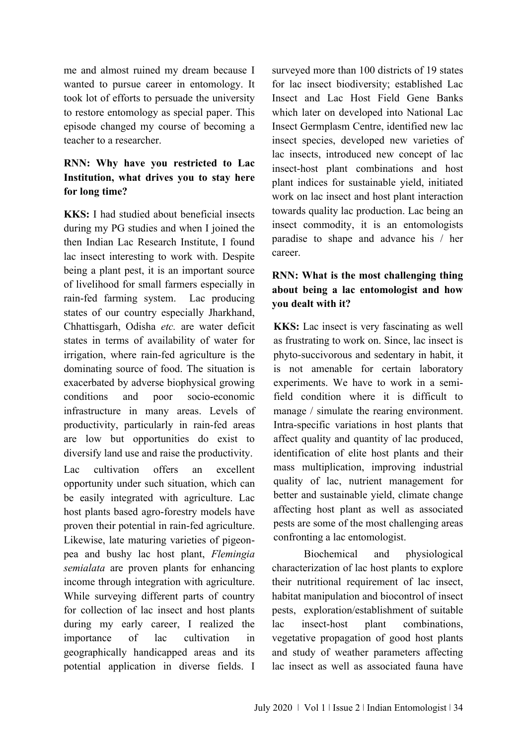me and almost ruined my dream because I wanted to pursue career in entomology. It took lot of efforts to persuade the university to restore entomology as special paper. This episode changed my course of becoming a teacher to a researcher.

## **RNN: Why have you restricted to Lac Institution, what drives you to stay here for long time?**

**KKS:** I had studied about beneficial insects during my PG studies and when I joined the then Indian Lac Research Institute, I found lac insect interesting to work with. Despite being a plant pest, it is an important source of livelihood for small farmers especially in rain-fed farming system. Lac producing states of our country especially Jharkhand, Chhattisgarh, Odisha *etc.* are water deficit states in terms of availability of water for irrigation, where rain-fed agriculture is the dominating source of food. The situation is exacerbated by adverse biophysical growing conditions and poor socio-economic infrastructure in many areas. Levels of productivity, particularly in rain-fed areas are low but opportunities do exist to diversify land use and raise the productivity.

Lac cultivation offers an excellent opportunity under such situation, which can be easily integrated with agriculture. Lac host plants based agro-forestry models have proven their potential in rain-fed agriculture. Likewise, late maturing varieties of pigeonpea and bushy lac host plant, *Flemingia semialata* are proven plants for enhancing income through integration with agriculture. While surveying different parts of country for collection of lac insect and host plants during my early career, I realized the importance of lac cultivation in geographically handicapped areas and its potential application in diverse fields. I

surveyed more than 100 districts of 19 states for lac insect biodiversity; established Lac Insect and Lac Host Field Gene Banks which later on developed into National Lac Insect Germplasm Centre, identified new lac insect species, developed new varieties of lac insects, introduced new concept of lac insect-host plant combinations and host plant indices for sustainable yield, initiated work on lac insect and host plant interaction towards quality lac production. Lac being an insect commodity, it is an entomologists paradise to shape and advance his / her career.

## **RNN: What is the most challenging thing about being a lac entomologist and how you dealt with it?**

**KKS:** Lac insect is very fascinating as well as frustrating to work on. Since, lac insect is phyto-succivorous and sedentary in habit, it is not amenable for certain laboratory experiments. We have to work in a semifield condition where it is difficult to manage / simulate the rearing environment. Intra-specific variations in host plants that affect quality and quantity of lac produced, identification of elite host plants and their mass multiplication, improving industrial quality of lac, nutrient management for better and sustainable yield, climate change affecting host plant as well as associated pests are some of the most challenging areas confronting a lac entomologist.

Biochemical and physiological characterization of lac host plants to explore their nutritional requirement of lac insect, habitat manipulation and biocontrol of insect pests, exploration/establishment of suitable lac insect-host plant combinations, vegetative propagation of good host plants and study of weather parameters affecting lac insect as well as associated fauna have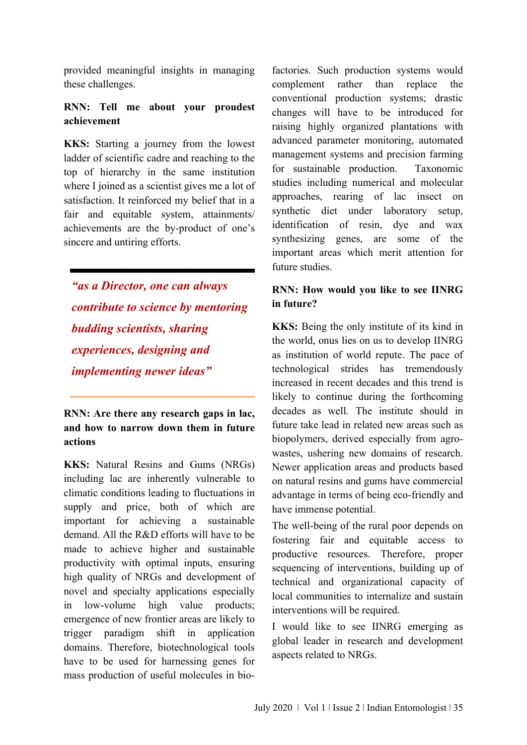provided meaningful insights in managing these challenges.

#### **RNN: Tell me about your proudest achievement**

**KKS:** Starting a journey from the lowest ladder of scientific cadre and reaching to the top of hierarchy in the same institution where I joined as a scientist gives me a lot of satisfaction. It reinforced my belief that in a fair and equitable system, attainments/ achievements are the by-product of one's sincere and untiring efforts.

*"as a Director, one can always contribute to science by mentoring budding scientists, sharing experiences, designing and implementing newer ideas"*

**RNN: Are there any research gaps in lac, and how to narrow down them in future actions**

**KKS:** Natural Resins and Gums (NRGs) including lac are inherently vulnerable to climatic conditions leading to fluctuations in supply and price, both of which are important for achieving a sustainable demand. All the R&D efforts will have to be made to achieve higher and sustainable productivity with optimal inputs, ensuring high quality of NRGs and development of novel and specialty applications especially in low-volume high value products; emergence of new frontier areas are likely to trigger paradigm shift in application domains. Therefore, biotechnological tools have to be used for harnessing genes for mass production of useful molecules in bio-

factories. Such production systems would complement rather than replace the conventional production systems; drastic changes will have to be introduced for raising highly organized plantations with advanced parameter monitoring, automated management systems and precision farming for sustainable production. Taxonomic studies including numerical and molecular approaches, rearing of lac insect on synthetic diet under laboratory setup, identification of resin, dye and wax synthesizing genes, are some of the important areas which merit attention for future studies.

## **RNN: How would you like to see IINRG in future?**

**KKS:** Being the only institute of its kind in the world, onus lies on us to develop IINRG as institution of world repute. The pace of technological strides has tremendously increased in recent decades and this trend is likely to continue during the forthcoming decades as well. The institute should in future take lead in related new areas such as biopolymers, derived especially from agrowastes, ushering new domains of research. Newer application areas and products based on natural resins and gums have commercial advantage in terms of being eco-friendly and have immense potential.

The well-being of the rural poor depends on fostering fair and equitable access to productive resources. Therefore, proper sequencing of interventions, building up of technical and organizational capacity of local communities to internalize and sustain interventions will be required.

I would like to see IINRG emerging as global leader in research and development aspects related to NRGs.